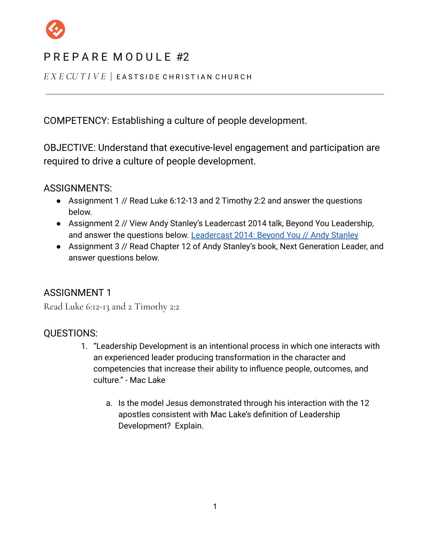

*E X E CU T I V E* | E A S T S I D E C H R I S T I A N C H U R C H

COMPETENCY: Establishing a culture of people development.

OBJECTIVE: Understand that executive-level engagement and participation are required to drive a culture of people development.

ASSIGNMENTS:

- Assignment 1 // Read Luke 6:12-13 and 2 Timothy 2:2 and answer the questions below.
- Assignment 2 // View Andy Stanley's Leadercast 2014 talk, Beyond You Leadership, and answer the questions below. [Leadercast 2014: Beyond](https://youtu.be/8ru6oYxeqas) You // Andy Stanley
- Assignment 3 // Read Chapter 12 of Andy Stanley's book, Next Generation Leader, and answer questions below.

### ASSIGNMENT 1

Read Luke 6:12-13 and 2 Timothy 2:2

### QUESTIONS:

- 1. "Leadership Development is an intentional process in which one interacts with an experienced leader producing transformation in the character and competencies that increase their ability to influence people, outcomes, and culture." - Mac Lake
	- a. Is the model Jesus demonstrated through his interaction with the 12 apostles consistent with Mac Lake's definition of Leadership Development? Explain.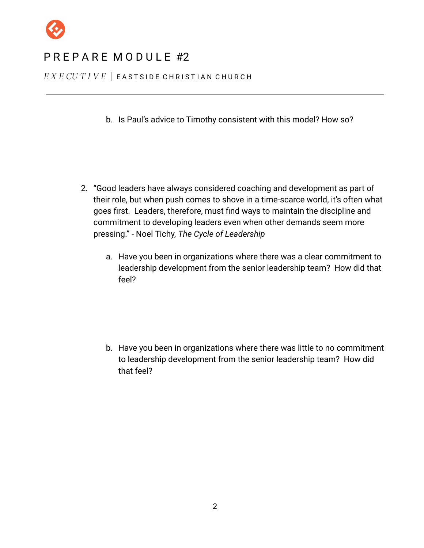

*E X E CU T I V E* | E A S T S I D E C H R I S T I A N C H U R C H

b. Is Paul's advice to Timothy consistent with this model? How so?

- 2. "Good leaders have always considered coaching and development as part of their role, but when push comes to shove in a time-scarce world, it's often what goes first. Leaders, therefore, must find ways to maintain the discipline and commitment to developing leaders even when other demands seem more pressing." - Noel Tichy, *The Cycle of Leadership*
	- a. Have you been in organizations where there was a clear commitment to leadership development from the senior leadership team? How did that feel?

b. Have you been in organizations where there was little to no commitment to leadership development from the senior leadership team? How did that feel?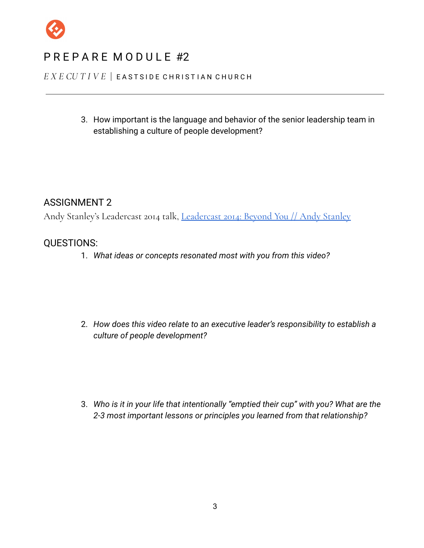

#### *E X E CU T I V E* | E A S T S I D E C H R I S T I A N C H U R C H

3. How important is the language and behavior of the senior leadership team in establishing a culture of people development?

### ASSIGNMENT 2

Andy Stanley's Leadercast 2014 talk, [Leadercast](https://youtu.be/8ru6oYxeqas) 2014: Beyond You // Andy Stanley

### QUESTIONS:

1. *What ideas or concepts resonated most with you from this video?*

2. *How does this video relate to an executive leader's responsibility to establish a culture of people development?*

3. *Who is it in your life that intentionally "emptied their cup" with you? What are the 2-3 most important lessons or principles you learned from that relationship?*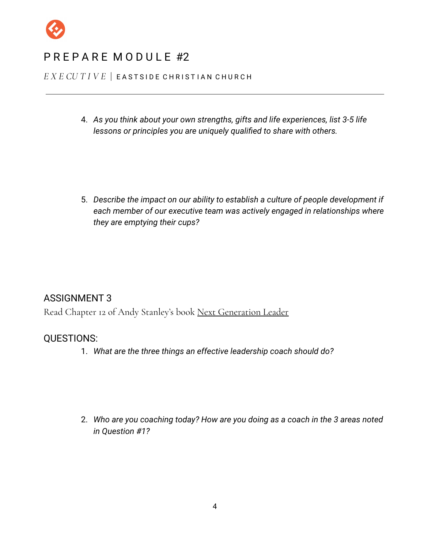

*E X E CU T I V E* | E A S T S I D E C H R I S T I A N C H U R C H

4. *As you think about your own strengths, gifts and life experiences, list 3-5 life lessons or principles you are uniquely qualified to share with others.*

5. *Describe the impact on our ability to establish a culture of people development if each member of our executive team was actively engaged in relationships where they are emptying their cups?*

#### ASSIGNMENT 3

Read Chapter 12 of Andy Stanley's book Next Generation Leader

#### QUESTIONS:

1. *What are the three things an effective leadership coach should do?*

2. *Who are you coaching today? How are you doing as a coach in the 3 areas noted in Question #1?*